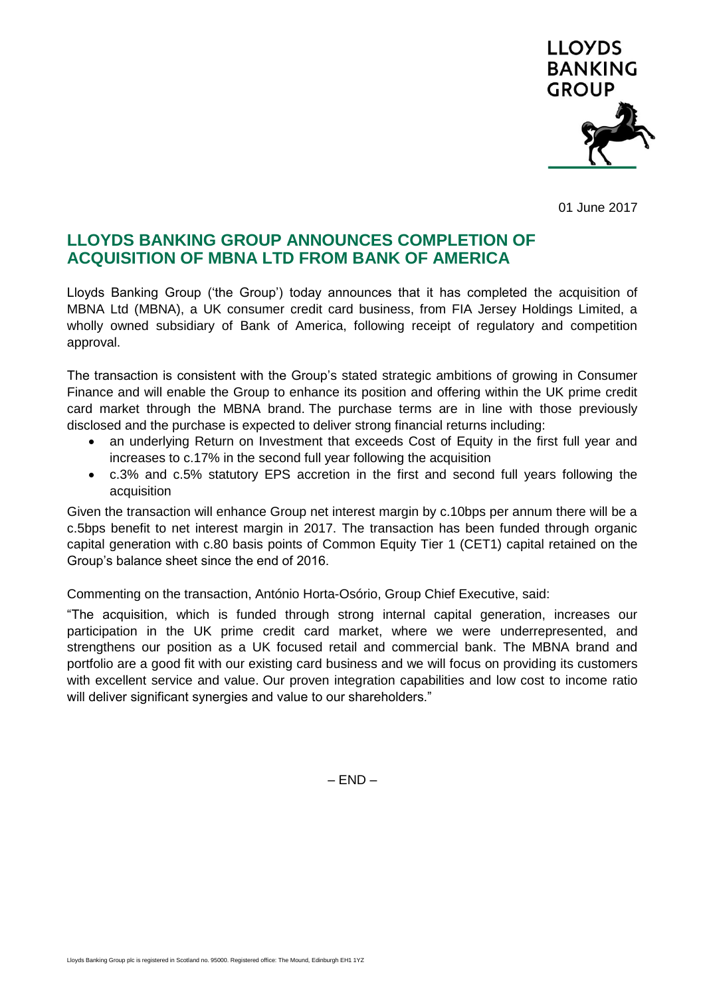

01 June 2017

## **LLOYDS BANKING GROUP ANNOUNCES COMPLETION OF ACQUISITION OF MBNA LTD FROM BANK OF AMERICA**

Lloyds Banking Group ('the Group') today announces that it has completed the acquisition of MBNA Ltd (MBNA), a UK consumer credit card business, from FIA Jersey Holdings Limited, a wholly owned subsidiary of Bank of America, following receipt of regulatory and competition approval.

The transaction is consistent with the Group's stated strategic ambitions of growing in Consumer Finance and will enable the Group to enhance its position and offering within the UK prime credit card market through the MBNA brand. The purchase terms are in line with those previously disclosed and the purchase is expected to deliver strong financial returns including:

- an underlying Return on Investment that exceeds Cost of Equity in the first full year and increases to c.17% in the second full year following the acquisition
- c.3% and c.5% statutory EPS accretion in the first and second full years following the acquisition

Given the transaction will enhance Group net interest margin by c.10bps per annum there will be a c.5bps benefit to net interest margin in 2017. The transaction has been funded through organic capital generation with c.80 basis points of Common Equity Tier 1 (CET1) capital retained on the Group's balance sheet since the end of 2016.

Commenting on the transaction, António Horta-Osório, Group Chief Executive, said:

"The acquisition, which is funded through strong internal capital generation, increases our participation in the UK prime credit card market, where we were underrepresented, and strengthens our position as a UK focused retail and commercial bank. The MBNA brand and portfolio are a good fit with our existing card business and we will focus on providing its customers with excellent service and value. Our proven integration capabilities and low cost to income ratio will deliver significant synergies and value to our shareholders."

– END –